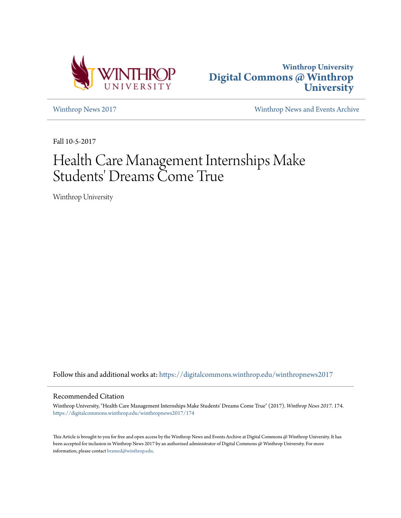



[Winthrop News 2017](https://digitalcommons.winthrop.edu/winthropnews2017?utm_source=digitalcommons.winthrop.edu%2Fwinthropnews2017%2F174&utm_medium=PDF&utm_campaign=PDFCoverPages) [Winthrop News and Events Archive](https://digitalcommons.winthrop.edu/winthropnewsarchives?utm_source=digitalcommons.winthrop.edu%2Fwinthropnews2017%2F174&utm_medium=PDF&utm_campaign=PDFCoverPages)

Fall 10-5-2017

# Health Care Management Internships Make Students' Dreams Come True

Winthrop University

Follow this and additional works at: [https://digitalcommons.winthrop.edu/winthropnews2017](https://digitalcommons.winthrop.edu/winthropnews2017?utm_source=digitalcommons.winthrop.edu%2Fwinthropnews2017%2F174&utm_medium=PDF&utm_campaign=PDFCoverPages)

### Recommended Citation

Winthrop University, "Health Care Management Internships Make Students' Dreams Come True" (2017). *Winthrop News 2017*. 174. [https://digitalcommons.winthrop.edu/winthropnews2017/174](https://digitalcommons.winthrop.edu/winthropnews2017/174?utm_source=digitalcommons.winthrop.edu%2Fwinthropnews2017%2F174&utm_medium=PDF&utm_campaign=PDFCoverPages)

This Article is brought to you for free and open access by the Winthrop News and Events Archive at Digital Commons @ Winthrop University. It has been accepted for inclusion in Winthrop News 2017 by an authorized administrator of Digital Commons @ Winthrop University. For more information, please contact [bramed@winthrop.edu](mailto:bramed@winthrop.edu).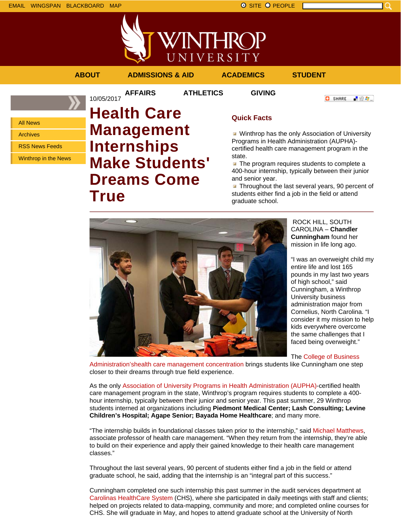VINTHROP UNIVERSITY

**AFFAIRS ATHLETICS GIVING**

**ABOUT ADMISSIONS & AID ACADEMICS STUDENT**

All News Archives RSS News Feeds

Winthrop in the News

## 10/05/2017 **Health Care Management Internships Make Students' Dreams Come True**

### **Quick Facts**

**Winthrop has the only Association of University** Programs in Health Administration (AUPHA) certified health care management program in the state.

 $\blacksquare$  The program requires students to complete a 400-hour internship, typically between their junior and senior year.

**Throughout the last several years, 90 percent of** students either find a job in the field or attend graduate school.

ROCK HILL, SOUTH CAROLINA – **Chandler Cunningham** found her mission in life long ago.

**O** SHARE

上没有。

"I was an overweight child my entire life and lost 165 pounds in my last two years of high school," said Cunningham, a Winthrop University business administration major from Cornelius, North Carolina. "I consider it my mission to help kids everywhere overcome the same challenges that I faced being overweight."

The College of Business

Administration'shealth care management concentration brings students like Cunningham one step closer to their dreams through true field experience.

As the only Association of University Programs in Health Administration (AUPHA)-certified health care management program in the state, Winthrop's program requires students to complete a 400 hour internship, typically between their junior and senior year. This past summer, 29 Winthrop students interned at organizations including **Piedmont Medical Center; Lash Consulting; Levine Children's Hospital; Agape Senior; Bayada Home Healthcare**; and many more.

"The internship builds in foundational classes taken prior to the internship," said Michael Matthews, associate professor of health care management. "When they return from the internship, they're able to build on their experience and apply their gained knowledge to their health care management classes."

Throughout the last several years, 90 percent of students either find a job in the field or attend graduate school, he said, adding that the internship is an "integral part of this success."

Cunningham completed one such internship this past summer in the audit services department at Carolinas HealthCare System (CHS), where she participated in daily meetings with staff and clients; helped on projects related to data-mapping, community and more; and completed online courses for CHS. She will graduate in May, and hopes to attend graduate school at the University of North